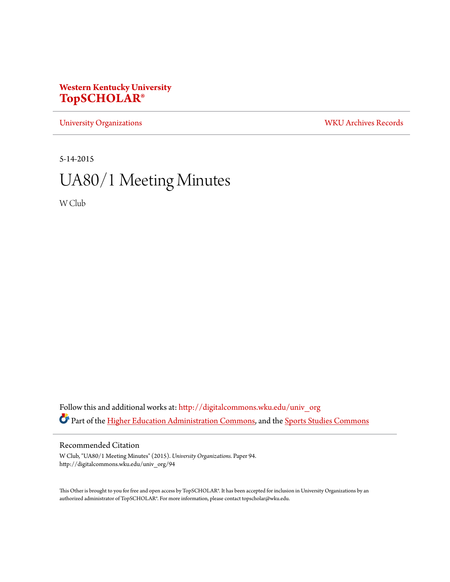# **Western Kentucky University [TopSCHOLAR®](http://digitalcommons.wku.edu?utm_source=digitalcommons.wku.edu%2Funiv_org%2F94&utm_medium=PDF&utm_campaign=PDFCoverPages)**

[University Organizations](http://digitalcommons.wku.edu/univ_org?utm_source=digitalcommons.wku.edu%2Funiv_org%2F94&utm_medium=PDF&utm_campaign=PDFCoverPages) [WKU Archives Records](http://digitalcommons.wku.edu/dlsc_ua_records?utm_source=digitalcommons.wku.edu%2Funiv_org%2F94&utm_medium=PDF&utm_campaign=PDFCoverPages)

5-14-2015

# UA80/1 Meeting Minutes

W Club

Follow this and additional works at: [http://digitalcommons.wku.edu/univ\\_org](http://digitalcommons.wku.edu/univ_org?utm_source=digitalcommons.wku.edu%2Funiv_org%2F94&utm_medium=PDF&utm_campaign=PDFCoverPages) Part of the [Higher Education Administration Commons](http://network.bepress.com/hgg/discipline/791?utm_source=digitalcommons.wku.edu%2Funiv_org%2F94&utm_medium=PDF&utm_campaign=PDFCoverPages), and the [Sports Studies Commons](http://network.bepress.com/hgg/discipline/1198?utm_source=digitalcommons.wku.edu%2Funiv_org%2F94&utm_medium=PDF&utm_campaign=PDFCoverPages)

#### Recommended Citation

W Club, "UA80/1 Meeting Minutes" (2015). *University Organizations.* Paper 94. http://digitalcommons.wku.edu/univ\_org/94

This Other is brought to you for free and open access by TopSCHOLAR®. It has been accepted for inclusion in University Organizations by an authorized administrator of TopSCHOLAR®. For more information, please contact topscholar@wku.edu.